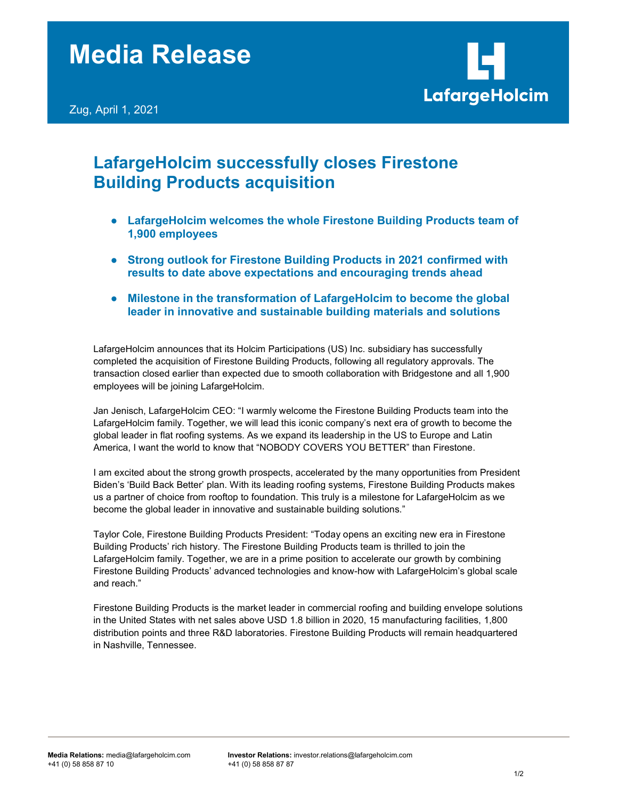

# LafargeHolcim successfully closes Firestone Building Products acquisition

- LafargeHolcim welcomes the whole Firestone Building Products team of 1,900 employees
- Strong outlook for Firestone Building Products in 2021 confirmed with results to date above expectations and encouraging trends ahead
- Milestone in the transformation of LafargeHolcim to become the global leader in innovative and sustainable building materials and solutions

LafargeHolcim announces that its Holcim Participations (US) Inc. subsidiary has successfully completed the acquisition of Firestone Building Products, following all regulatory approvals. The transaction closed earlier than expected due to smooth collaboration with Bridgestone and all 1,900 employees will be joining LafargeHolcim.

Jan Jenisch, LafargeHolcim CEO: "I warmly welcome the Firestone Building Products team into the LafargeHolcim family. Together, we will lead this iconic company's next era of growth to become the global leader in flat roofing systems. As we expand its leadership in the US to Europe and Latin America, I want the world to know that "NOBODY COVERS YOU BETTER" than Firestone.

I am excited about the strong growth prospects, accelerated by the many opportunities from President Biden's 'Build Back Better' plan. With its leading roofing systems, Firestone Building Products makes us a partner of choice from rooftop to foundation. This truly is a milestone for LafargeHolcim as we become the global leader in innovative and sustainable building solutions."

Taylor Cole, Firestone Building Products President: "Today opens an exciting new era in Firestone Building Products' rich history. The Firestone Building Products team is thrilled to join the LafargeHolcim family. Together, we are in a prime position to accelerate our growth by combining Firestone Building Products' advanced technologies and know-how with LafargeHolcim's global scale and reach."

Firestone Building Products is the market leader in commercial roofing and building envelope solutions in the United States with net sales above USD 1.8 billion in 2020, 15 manufacturing facilities, 1,800 distribution points and three R&D laboratories. Firestone Building Products will remain headquartered in Nashville, Tennessee.